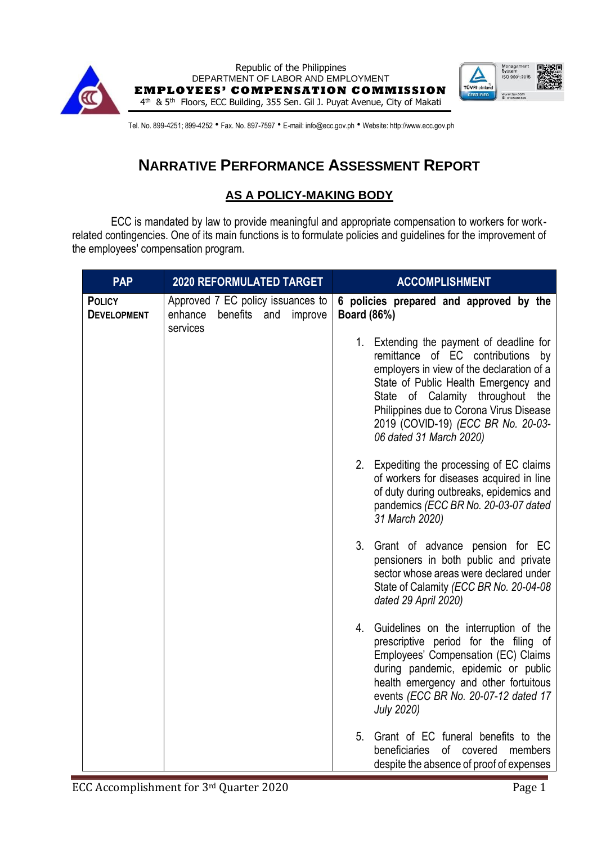



Tel. No. 899-4251; 899-4252 · Fax. No. 897-7597 · E-mail: info@ecc.gov.ph · Website: http://www.ecc.gov.ph

# **NARRATIVE PERFORMANCE ASSESSMENT REPORT**

#### **AS A POLICY-MAKING BODY**

ECC is mandated by law to provide meaningful and appropriate compensation to workers for workrelated contingencies. One of its main functions is to formulate policies and guidelines for the improvement of the employees' compensation program.

| <b>PAP</b>                          | <b>2020 REFORMULATED TARGET</b>                                                        | <b>ACCOMPLISHMENT</b>                                                                                                                                                                                                                                                                                                 |
|-------------------------------------|----------------------------------------------------------------------------------------|-----------------------------------------------------------------------------------------------------------------------------------------------------------------------------------------------------------------------------------------------------------------------------------------------------------------------|
| <b>POLICY</b><br><b>DEVELOPMENT</b> | Approved 7 EC policy issuances to<br>enhance<br>benefits<br>and<br>improve<br>services | 6 policies prepared and approved by the<br><b>Board (86%)</b>                                                                                                                                                                                                                                                         |
|                                     |                                                                                        | 1. Extending the payment of deadline for<br>remittance of EC contributions<br>by<br>employers in view of the declaration of a<br>State of Public Health Emergency and<br>State of Calamity throughout the<br>Philippines due to Corona Virus Disease<br>2019 (COVID-19) (ECC BR No. 20-03-<br>06 dated 31 March 2020) |
|                                     |                                                                                        | 2. Expediting the processing of EC claims<br>of workers for diseases acquired in line<br>of duty during outbreaks, epidemics and<br>pandemics (ECC BR No. 20-03-07 dated<br>31 March 2020)                                                                                                                            |
|                                     |                                                                                        | 3. Grant of advance pension for EC<br>pensioners in both public and private<br>sector whose areas were declared under<br>State of Calamity (ECC BR No. 20-04-08<br>dated 29 April 2020)                                                                                                                               |
|                                     |                                                                                        | 4. Guidelines on the interruption of the<br>prescriptive period for the filing of<br>Employees' Compensation (EC) Claims<br>during pandemic, epidemic or public<br>health emergency and other fortuitous<br>events (ECC BR No. 20-07-12 dated 17<br><b>July 2020)</b>                                                 |
|                                     |                                                                                        | 5.<br>Grant of EC funeral benefits to the<br>0f<br>beneficiaries<br>covered<br>members<br>despite the absence of proof of expenses                                                                                                                                                                                    |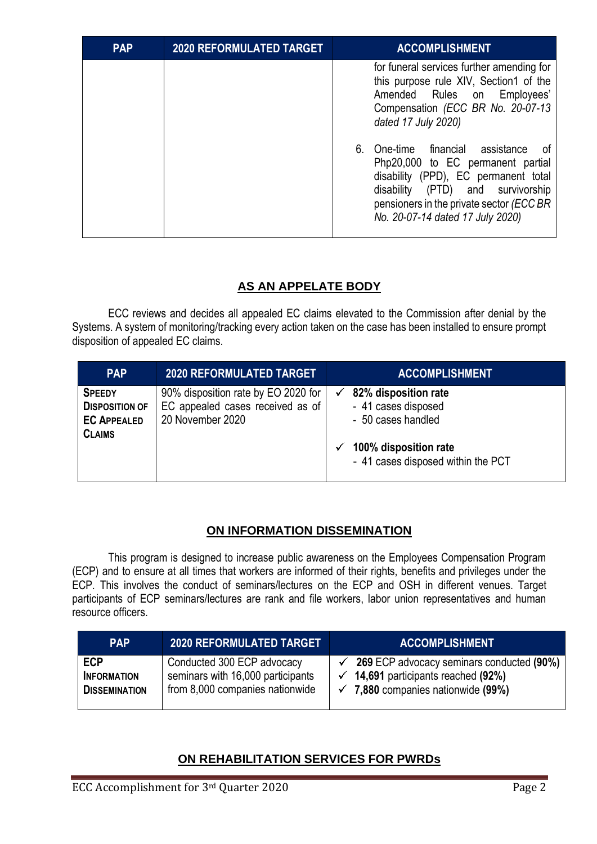| <b>PAP</b> | <b>2020 REFORMULATED TARGET</b> | <b>ACCOMPLISHMENT</b>                                                                                                                                                                                                                                                                                                                                                                                                          |
|------------|---------------------------------|--------------------------------------------------------------------------------------------------------------------------------------------------------------------------------------------------------------------------------------------------------------------------------------------------------------------------------------------------------------------------------------------------------------------------------|
|            |                                 | for funeral services further amending for<br>this purpose rule XIV, Section1 of the<br>Amended Rules on<br>Employees'<br>Compensation (ECC BR No. 20-07-13<br>dated 17 July 2020)<br>6. One-time financial assistance<br>-ot<br>Php20,000 to EC permanent partial<br>disability (PPD), EC permanent total<br>disability (PTD) and survivorship<br>pensioners in the private sector (ECC BR<br>No. 20-07-14 dated 17 July 2020) |

### **AS AN APPELATE BODY**

ECC reviews and decides all appealed EC claims elevated to the Commission after denial by the Systems. A system of monitoring/tracking every action taken on the case has been installed to ensure prompt disposition of appealed EC claims.

| <b>PAP</b>                                                                    | <b>2020 REFORMULATED TARGET</b>                                                             | <b>ACCOMPLISHMENT</b>                                                                                                            |
|-------------------------------------------------------------------------------|---------------------------------------------------------------------------------------------|----------------------------------------------------------------------------------------------------------------------------------|
| <b>SPEEDY</b><br><b>DISPOSITION OF</b><br><b>EC APPEALED</b><br><b>CLAIMS</b> | 90% disposition rate by EO 2020 for<br>EC appealed cases received as of<br>20 November 2020 | 82% disposition rate<br>- 41 cases disposed<br>- 50 cases handled<br>100% disposition rate<br>- 41 cases disposed within the PCT |

### **ON INFORMATION DISSEMINATION**

This program is designed to increase public awareness on the Employees Compensation Program (ECP) and to ensure at all times that workers are informed of their rights, benefits and privileges under the ECP. This involves the conduct of seminars/lectures on the ECP and OSH in different venues. Target participants of ECP seminars/lectures are rank and file workers, labor union representatives and human resource officers.

| <b>PAP</b>                                               | <b>2020 REFORMULATED TARGET</b>                                                                    | <b>ACCOMPLISHMENT</b>                                                                                                                                  |
|----------------------------------------------------------|----------------------------------------------------------------------------------------------------|--------------------------------------------------------------------------------------------------------------------------------------------------------|
| <b>ECP</b><br><b>INFORMATION</b><br><b>DISSEMINATION</b> | Conducted 300 ECP advocacy<br>seminars with 16,000 participants<br>from 8,000 companies nationwide | <b>269 ECP advocacy seminars conducted (90%)</b><br>14,691 participants reached (92%)<br>$\checkmark$<br>$\checkmark$ 7,880 companies nationwide (99%) |

## **ON REHABILITATION SERVICES FOR PWRDs**